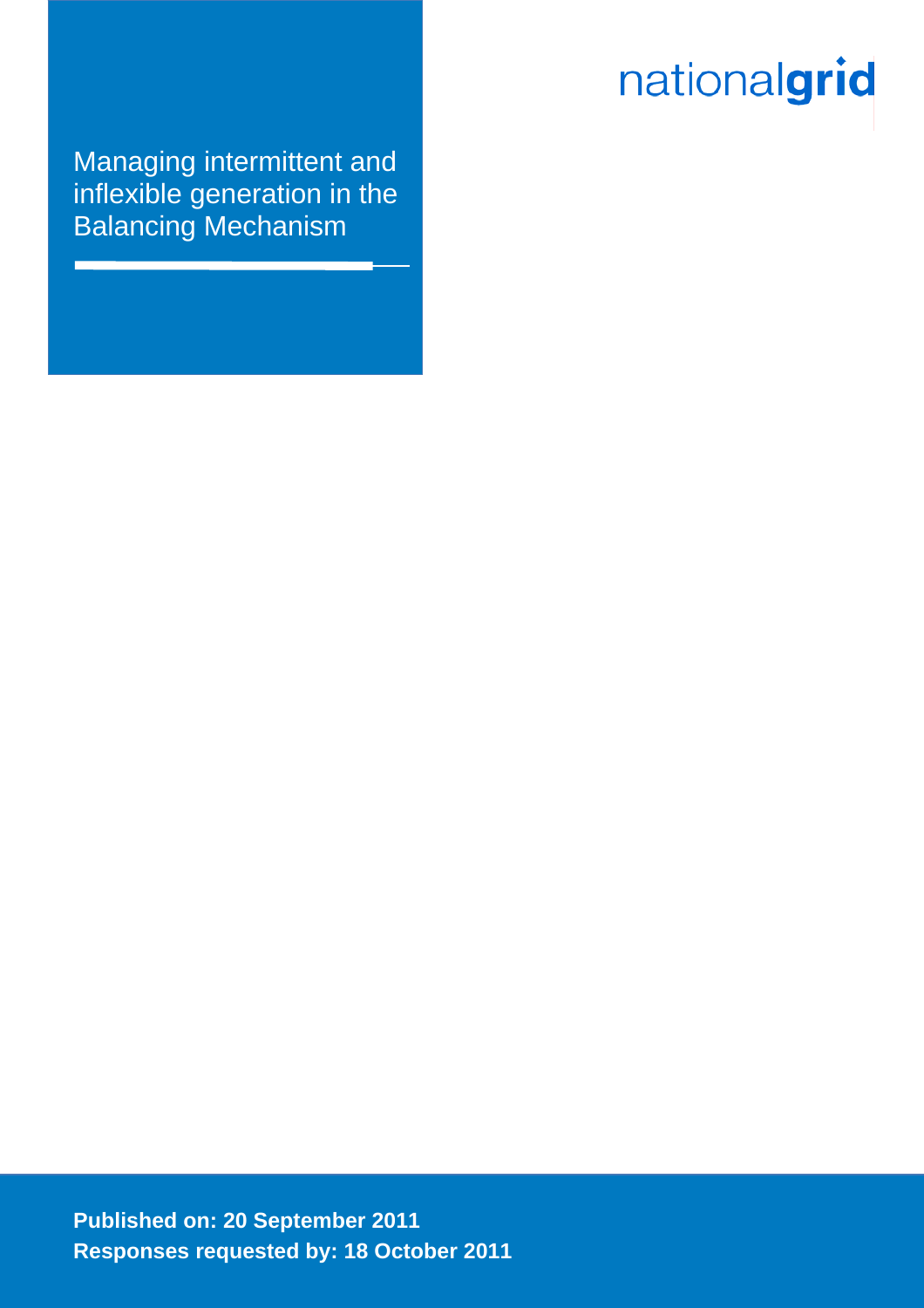# nationalgrid

Managing intermittent and inflexible generation in the Balancing Mechanism

**Published on: 20 September 2011 Responses requested by: 18 October 2011**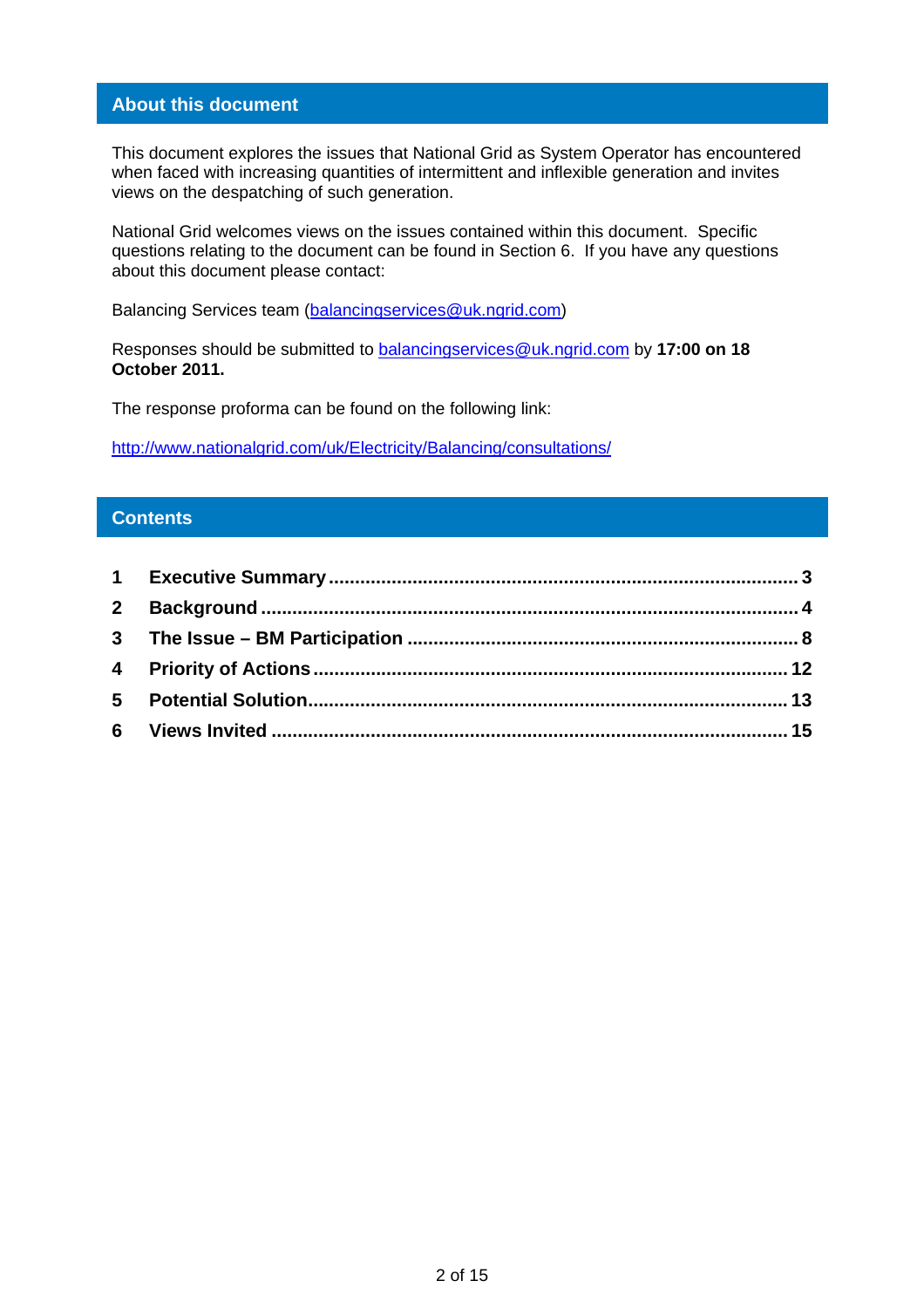## **About this document**

This document explores the issues that National Grid as System Operator has encountered when faced with increasing quantities of intermittent and inflexible generation and invites views on the despatching of such generation.

National Grid welcomes views on the issues contained within this document. Specific questions relating to the document can be found in Section 6. If you have any questions about this document please contact:

Balancing Services team (balancingservices@uk.ngrid.com)

Responses should be submitted to balancingservices@uk.ngrid.com by **17:00 on 18 October 2011.** 

The response proforma can be found on the following link:

http://www.nationalgrid.com/uk/Electricity/Balancing/consultations/

#### **Contents**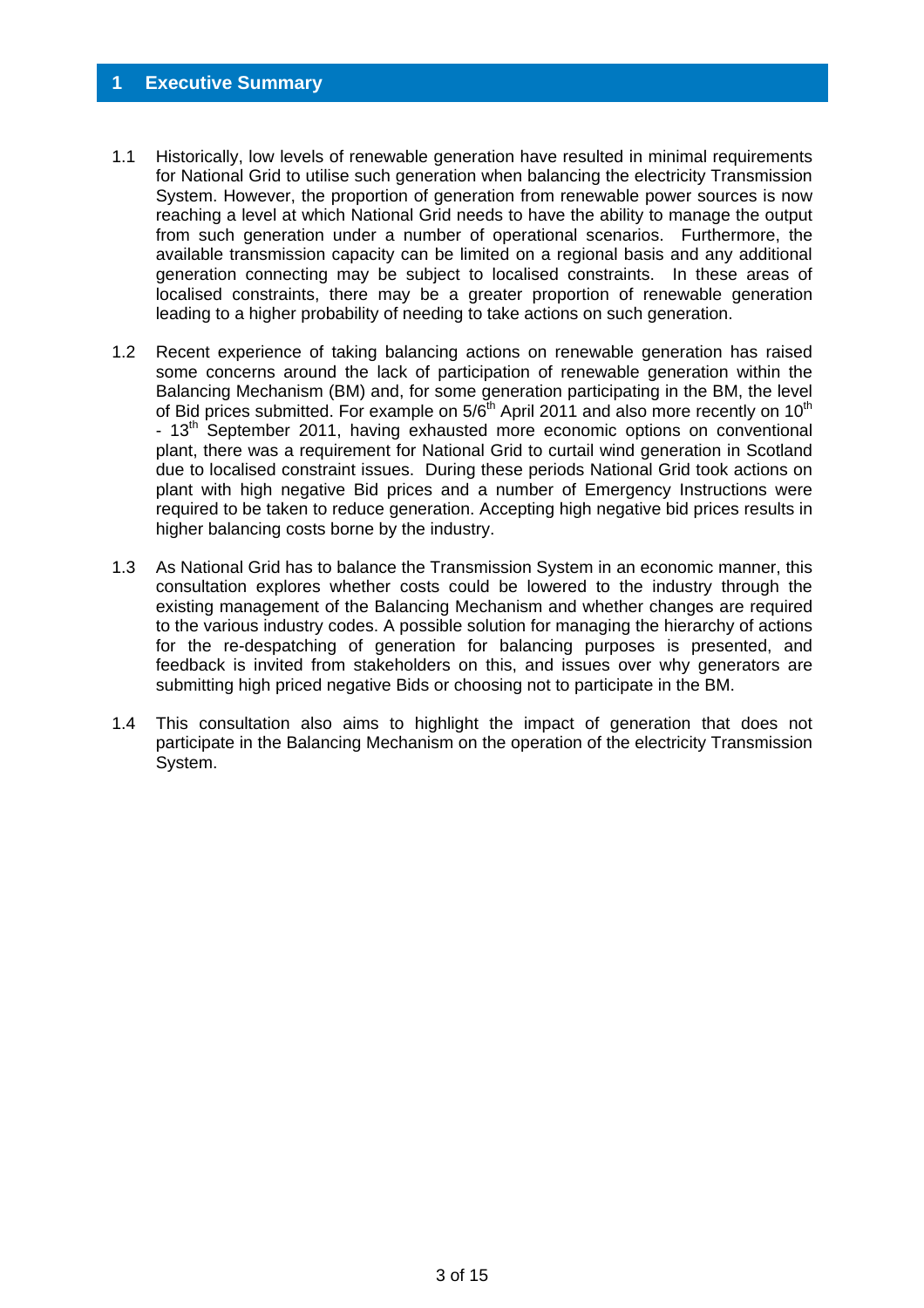#### **1 Executive Summary**

- 1.1 Historically, low levels of renewable generation have resulted in minimal requirements for National Grid to utilise such generation when balancing the electricity Transmission System. However, the proportion of generation from renewable power sources is now reaching a level at which National Grid needs to have the ability to manage the output from such generation under a number of operational scenarios. Furthermore, the available transmission capacity can be limited on a regional basis and any additional generation connecting may be subject to localised constraints. In these areas of localised constraints, there may be a greater proportion of renewable generation leading to a higher probability of needing to take actions on such generation.
- 1.2 Recent experience of taking balancing actions on renewable generation has raised some concerns around the lack of participation of renewable generation within the Balancing Mechanism (BM) and, for some generation participating in the BM, the level of Bid prices submitted. For example on  $5/6^{\text{th}}$  April 2011 and also more recently on 10<sup>th</sup> - 13<sup>th</sup> September 2011, having exhausted more economic options on conventional plant, there was a requirement for National Grid to curtail wind generation in Scotland due to localised constraint issues. During these periods National Grid took actions on plant with high negative Bid prices and a number of Emergency Instructions were required to be taken to reduce generation. Accepting high negative bid prices results in higher balancing costs borne by the industry.
- 1.3 As National Grid has to balance the Transmission System in an economic manner, this consultation explores whether costs could be lowered to the industry through the existing management of the Balancing Mechanism and whether changes are required to the various industry codes. A possible solution for managing the hierarchy of actions for the re-despatching of generation for balancing purposes is presented, and feedback is invited from stakeholders on this, and issues over why generators are submitting high priced negative Bids or choosing not to participate in the BM.
- 1.4 This consultation also aims to highlight the impact of generation that does not participate in the Balancing Mechanism on the operation of the electricity Transmission System.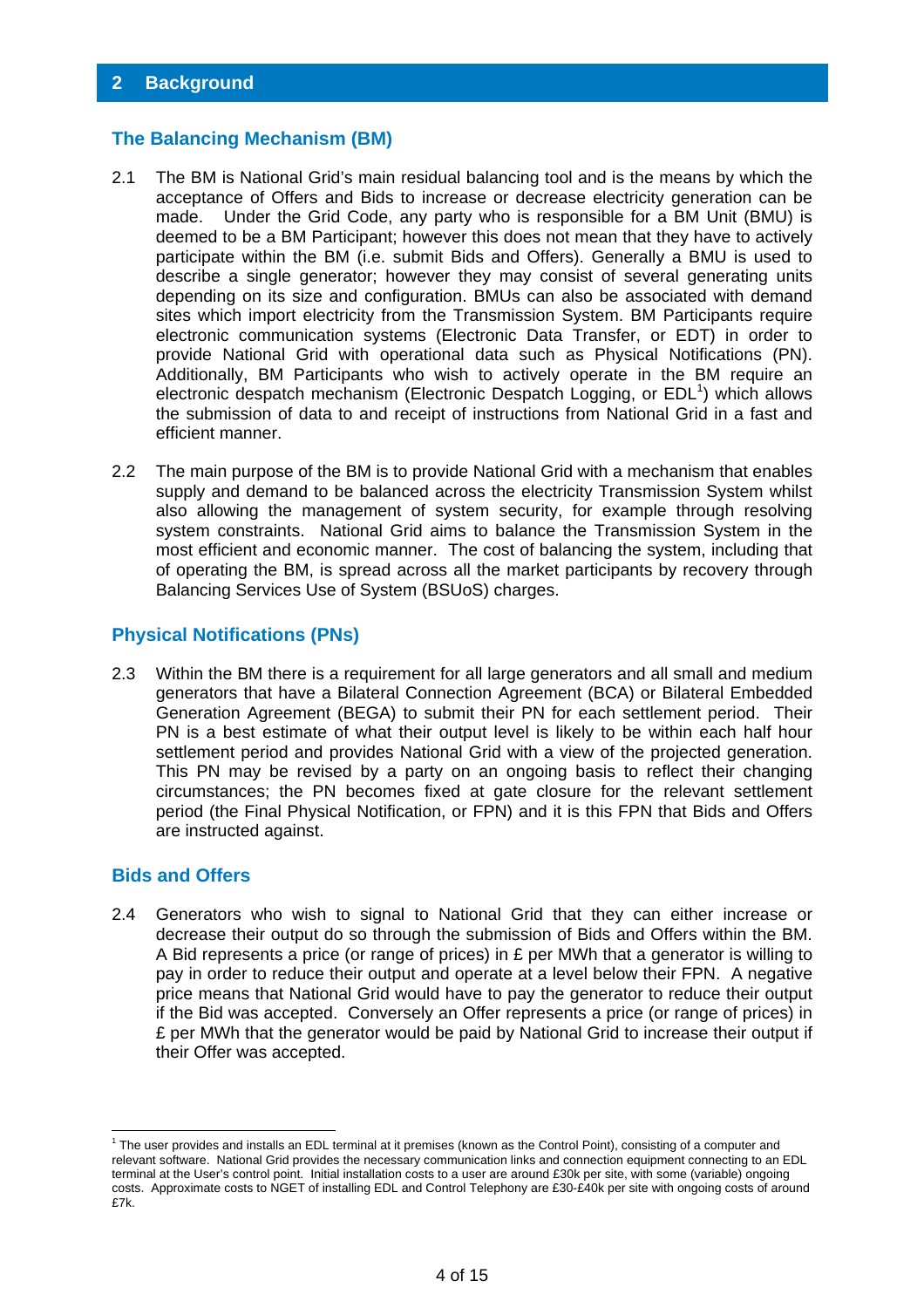#### **The Balancing Mechanism (BM)**

- 2.1 The BM is National Grid's main residual balancing tool and is the means by which the acceptance of Offers and Bids to increase or decrease electricity generation can be made. Under the Grid Code, any party who is responsible for a BM Unit (BMU) is deemed to be a BM Participant; however this does not mean that they have to actively participate within the BM (i.e. submit Bids and Offers). Generally a BMU is used to describe a single generator; however they may consist of several generating units depending on its size and configuration. BMUs can also be associated with demand sites which import electricity from the Transmission System. BM Participants require electronic communication systems (Electronic Data Transfer, or EDT) in order to provide National Grid with operational data such as Physical Notifications (PN). Additionally, BM Participants who wish to actively operate in the BM require an electronic despatch mechanism (Electronic Despatch Logging, or EDL<sup>1</sup>) which allows the submission of data to and receipt of instructions from National Grid in a fast and efficient manner.
- 2.2 The main purpose of the BM is to provide National Grid with a mechanism that enables supply and demand to be balanced across the electricity Transmission System whilst also allowing the management of system security, for example through resolving system constraints. National Grid aims to balance the Transmission System in the most efficient and economic manner. The cost of balancing the system, including that of operating the BM, is spread across all the market participants by recovery through Balancing Services Use of System (BSUoS) charges.

#### **Physical Notifications (PNs)**

2.3 Within the BM there is a requirement for all large generators and all small and medium generators that have a Bilateral Connection Agreement (BCA) or Bilateral Embedded Generation Agreement (BEGA) to submit their PN for each settlement period. Their PN is a best estimate of what their output level is likely to be within each half hour settlement period and provides National Grid with a view of the projected generation. This PN may be revised by a party on an ongoing basis to reflect their changing circumstances; the PN becomes fixed at gate closure for the relevant settlement period (the Final Physical Notification, or FPN) and it is this FPN that Bids and Offers are instructed against.

#### **Bids and Offers**

2.4 Generators who wish to signal to National Grid that they can either increase or decrease their output do so through the submission of Bids and Offers within the BM. A Bid represents a price (or range of prices) in  $E$  per MWh that a generator is willing to pay in order to reduce their output and operate at a level below their FPN. A negative price means that National Grid would have to pay the generator to reduce their output if the Bid was accepted. Conversely an Offer represents a price (or range of prices) in £ per MWh that the generator would be paid by National Grid to increase their output if their Offer was accepted.

 1 The user provides and installs an EDL terminal at it premises (known as the Control Point), consisting of a computer and relevant software. National Grid provides the necessary communication links and connection equipment connecting to an EDL terminal at the User's control point. Initial installation costs to a user are around £30k per site, with some (variable) ongoing costs. Approximate costs to NGET of installing EDL and Control Telephony are £30-£40k per site with ongoing costs of around £7k.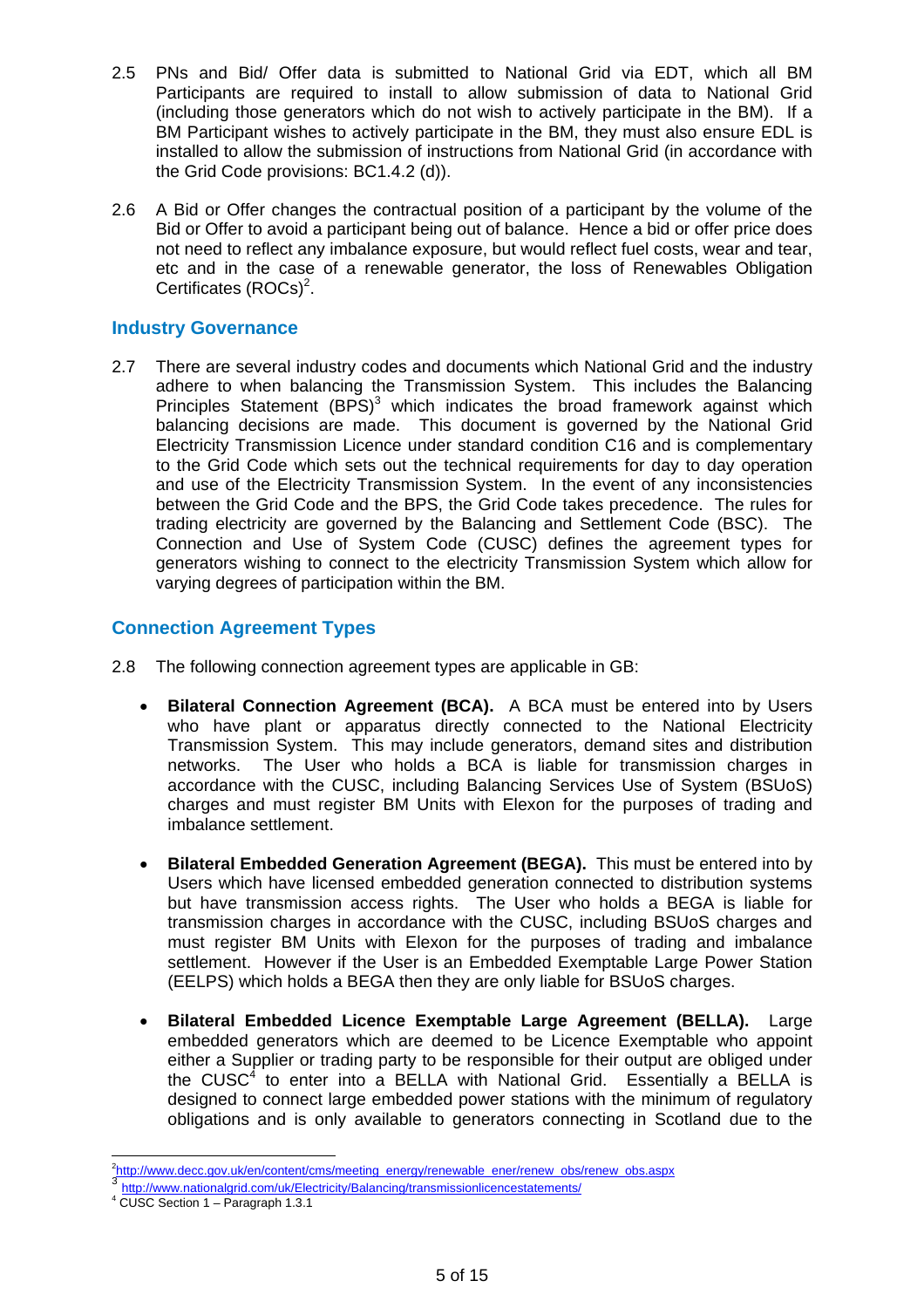- 2.5 PNs and Bid/ Offer data is submitted to National Grid via EDT, which all BM Participants are required to install to allow submission of data to National Grid (including those generators which do not wish to actively participate in the BM). If a BM Participant wishes to actively participate in the BM, they must also ensure EDL is installed to allow the submission of instructions from National Grid (in accordance with the Grid Code provisions: BC1.4.2 (d)).
- 2.6 A Bid or Offer changes the contractual position of a participant by the volume of the Bid or Offer to avoid a participant being out of balance. Hence a bid or offer price does not need to reflect any imbalance exposure, but would reflect fuel costs, wear and tear, etc and in the case of a renewable generator, the loss of Renewables Obligation Certificates (ROCs)<sup>2</sup>.

## **Industry Governance**

2.7 There are several industry codes and documents which National Grid and the industry adhere to when balancing the Transmission System. This includes the Balancing Principles Statement  $(BPS)^3$  which indicates the broad framework against which balancing decisions are made. This document is governed by the National Grid Electricity Transmission Licence under standard condition C16 and is complementary to the Grid Code which sets out the technical requirements for day to day operation and use of the Electricity Transmission System. In the event of any inconsistencies between the Grid Code and the BPS, the Grid Code takes precedence. The rules for trading electricity are governed by the Balancing and Settlement Code (BSC). The Connection and Use of System Code (CUSC) defines the agreement types for generators wishing to connect to the electricity Transmission System which allow for varying degrees of participation within the BM.

## **Connection Agreement Types**

- 2.8 The following connection agreement types are applicable in GB:
	- **Bilateral Connection Agreement (BCA).** A BCA must be entered into by Users who have plant or apparatus directly connected to the National Electricity Transmission System. This may include generators, demand sites and distribution networks. The User who holds a BCA is liable for transmission charges in accordance with the CUSC, including Balancing Services Use of System (BSUoS) charges and must register BM Units with Elexon for the purposes of trading and imbalance settlement.
	- **Bilateral Embedded Generation Agreement (BEGA).** This must be entered into by Users which have licensed embedded generation connected to distribution systems but have transmission access rights. The User who holds a BEGA is liable for transmission charges in accordance with the CUSC, including BSUoS charges and must register BM Units with Elexon for the purposes of trading and imbalance settlement. However if the User is an Embedded Exemptable Large Power Station (EELPS) which holds a BEGA then they are only liable for BSUoS charges.
	- **Bilateral Embedded Licence Exemptable Large Agreement (BELLA).** Large embedded generators which are deemed to be Licence Exemptable who appoint either a Supplier or trading party to be responsible for their output are obliged under the CUSC<sup>4</sup> to enter into a BELLA with National Grid. Essentially a BELLA is designed to connect large embedded power stations with the minimum of regulatory obligations and is only available to generators connecting in Scotland due to the

 $\frac{1}{2}$ 

http://www.nationalgrid.com/uk/Electricity/Balancing/transmissionlicencestatements/

<sup>4</sup> CUSC Section 1 – Paragraph 1.3.1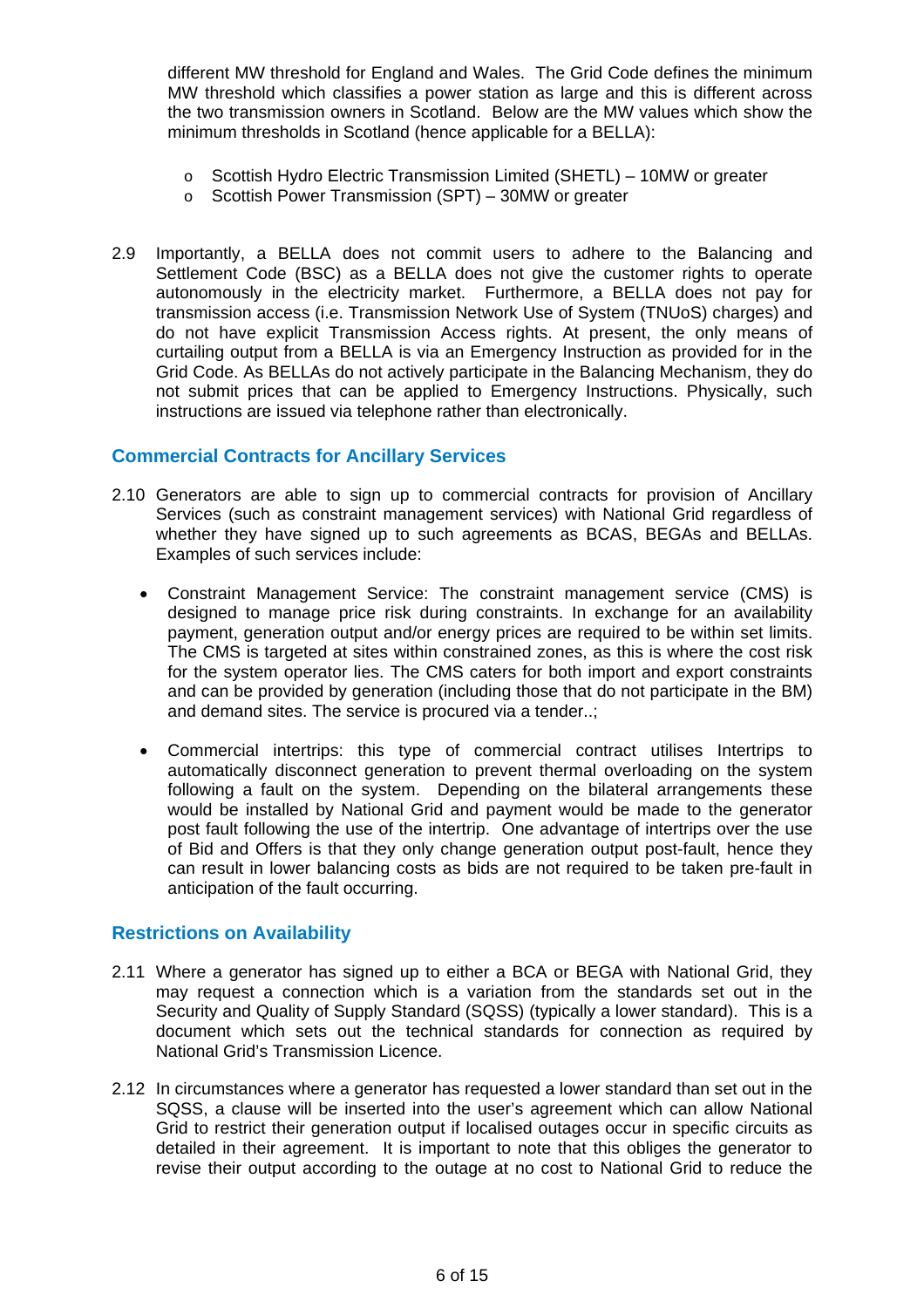different MW threshold for England and Wales. The Grid Code defines the minimum MW threshold which classifies a power station as large and this is different across the two transmission owners in Scotland. Below are the MW values which show the minimum thresholds in Scotland (hence applicable for a BELLA):

- $\circ$  Scottish Hydro Electric Transmission Limited (SHETL) 10MW or greater
- o Scottish Power Transmission (SPT) 30MW or greater
- 2.9 Importantly, a BELLA does not commit users to adhere to the Balancing and Settlement Code (BSC) as a BELLA does not give the customer rights to operate autonomously in the electricity market. Furthermore, a BELLA does not pay for transmission access (i.e. Transmission Network Use of System (TNUoS) charges) and do not have explicit Transmission Access rights. At present, the only means of curtailing output from a BELLA is via an Emergency Instruction as provided for in the Grid Code. As BELLAs do not actively participate in the Balancing Mechanism, they do not submit prices that can be applied to Emergency Instructions. Physically, such instructions are issued via telephone rather than electronically.

## **Commercial Contracts for Ancillary Services**

- 2.10 Generators are able to sign up to commercial contracts for provision of Ancillary Services (such as constraint management services) with National Grid regardless of whether they have signed up to such agreements as BCAS, BEGAs and BELLAs. Examples of such services include:
	- Constraint Management Service: The constraint management service (CMS) is designed to manage price risk during constraints. In exchange for an availability payment, generation output and/or energy prices are required to be within set limits. The CMS is targeted at sites within constrained zones, as this is where the cost risk for the system operator lies. The CMS caters for both import and export constraints and can be provided by generation (including those that do not participate in the BM) and demand sites. The service is procured via a tender..;
	- Commercial intertrips: this type of commercial contract utilises Intertrips to automatically disconnect generation to prevent thermal overloading on the system following a fault on the system. Depending on the bilateral arrangements these would be installed by National Grid and payment would be made to the generator post fault following the use of the intertrip. One advantage of intertrips over the use of Bid and Offers is that they only change generation output post-fault, hence they can result in lower balancing costs as bids are not required to be taken pre-fault in anticipation of the fault occurring.

## **Restrictions on Availability**

- 2.11 Where a generator has signed up to either a BCA or BEGA with National Grid, they may request a connection which is a variation from the standards set out in the Security and Quality of Supply Standard (SQSS) (typically a lower standard). This is a document which sets out the technical standards for connection as required by National Grid's Transmission Licence.
- 2.12 In circumstances where a generator has requested a lower standard than set out in the SQSS, a clause will be inserted into the user's agreement which can allow National Grid to restrict their generation output if localised outages occur in specific circuits as detailed in their agreement. It is important to note that this obliges the generator to revise their output according to the outage at no cost to National Grid to reduce the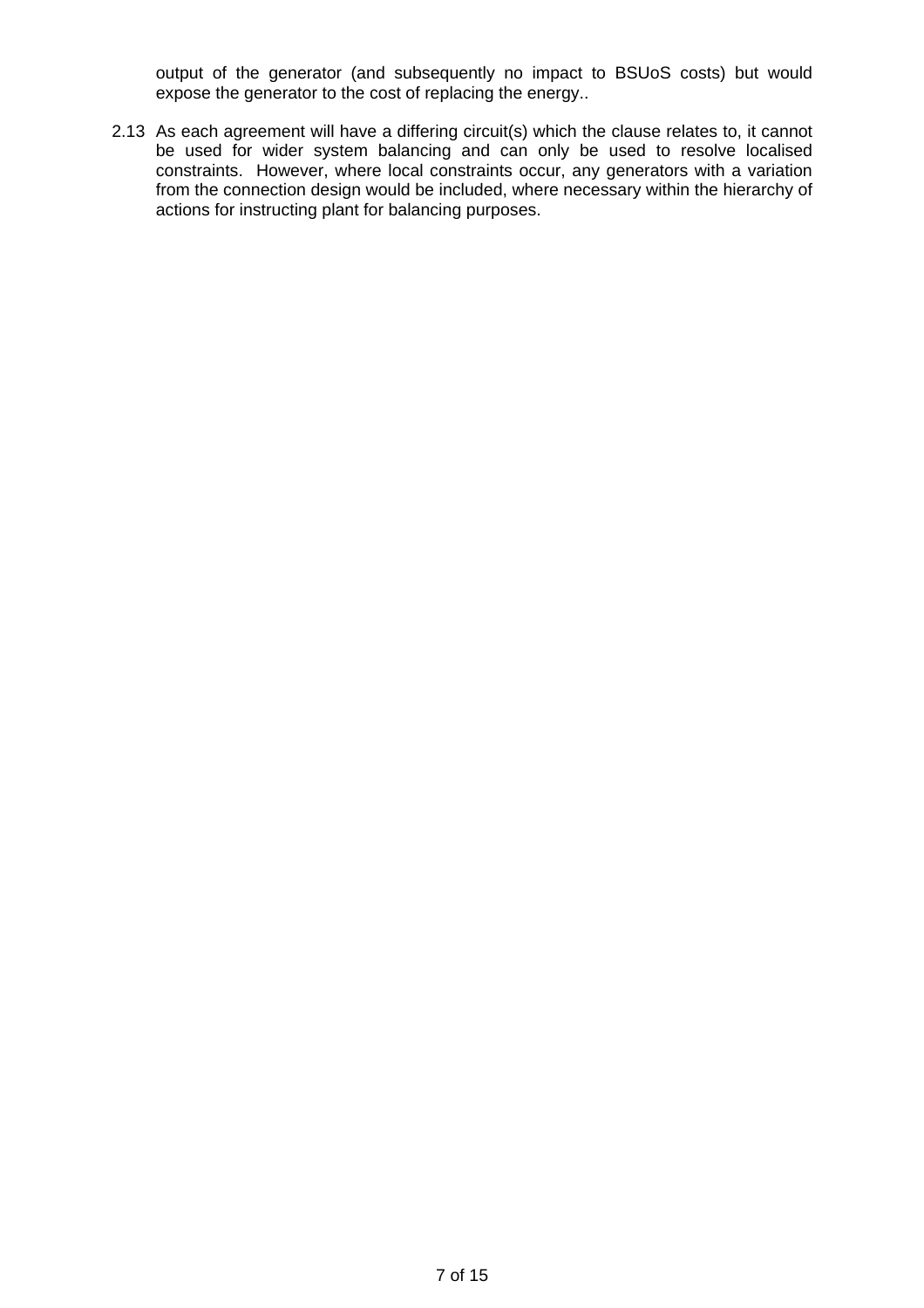output of the generator (and subsequently no impact to BSUoS costs) but would expose the generator to the cost of replacing the energy..

2.13 As each agreement will have a differing circuit(s) which the clause relates to, it cannot be used for wider system balancing and can only be used to resolve localised constraints. However, where local constraints occur, any generators with a variation from the connection design would be included, where necessary within the hierarchy of actions for instructing plant for balancing purposes.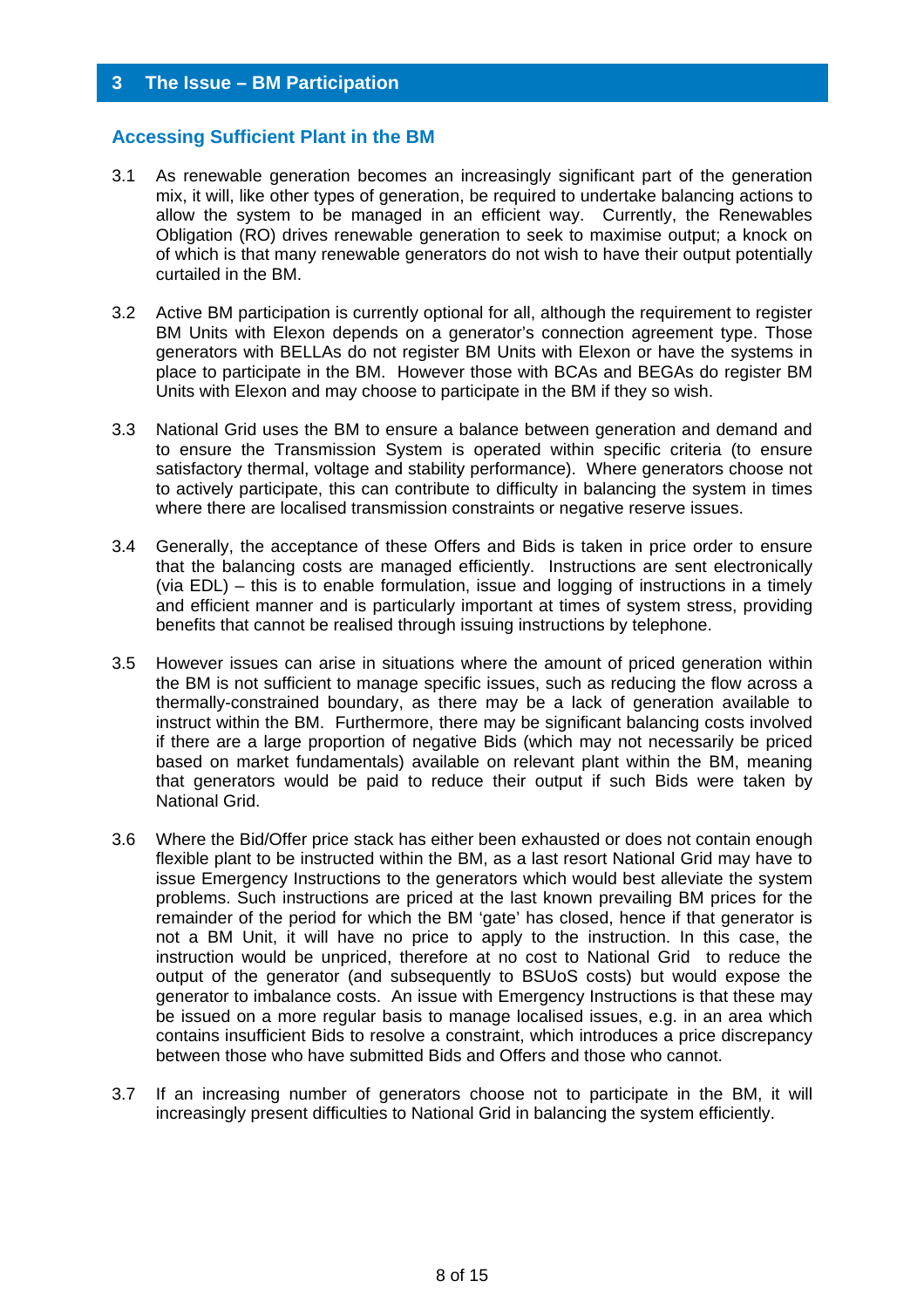#### **Accessing Sufficient Plant in the BM**

- 3.1 As renewable generation becomes an increasingly significant part of the generation mix, it will, like other types of generation, be required to undertake balancing actions to allow the system to be managed in an efficient way. Currently, the Renewables Obligation (RO) drives renewable generation to seek to maximise output; a knock on of which is that many renewable generators do not wish to have their output potentially curtailed in the BM.
- 3.2 Active BM participation is currently optional for all, although the requirement to register BM Units with Elexon depends on a generator's connection agreement type. Those generators with BELLAs do not register BM Units with Elexon or have the systems in place to participate in the BM. However those with BCAs and BEGAs do register BM Units with Elexon and may choose to participate in the BM if they so wish.
- 3.3 National Grid uses the BM to ensure a balance between generation and demand and to ensure the Transmission System is operated within specific criteria (to ensure satisfactory thermal, voltage and stability performance). Where generators choose not to actively participate, this can contribute to difficulty in balancing the system in times where there are localised transmission constraints or negative reserve issues.
- 3.4 Generally, the acceptance of these Offers and Bids is taken in price order to ensure that the balancing costs are managed efficiently. Instructions are sent electronically (via EDL) – this is to enable formulation, issue and logging of instructions in a timely and efficient manner and is particularly important at times of system stress, providing benefits that cannot be realised through issuing instructions by telephone.
- 3.5 However issues can arise in situations where the amount of priced generation within the BM is not sufficient to manage specific issues, such as reducing the flow across a thermally-constrained boundary, as there may be a lack of generation available to instruct within the BM. Furthermore, there may be significant balancing costs involved if there are a large proportion of negative Bids (which may not necessarily be priced based on market fundamentals) available on relevant plant within the BM, meaning that generators would be paid to reduce their output if such Bids were taken by National Grid.
- 3.6 Where the Bid/Offer price stack has either been exhausted or does not contain enough flexible plant to be instructed within the BM, as a last resort National Grid may have to issue Emergency Instructions to the generators which would best alleviate the system problems. Such instructions are priced at the last known prevailing BM prices for the remainder of the period for which the BM 'gate' has closed, hence if that generator is not a BM Unit, it will have no price to apply to the instruction. In this case, the instruction would be unpriced, therefore at no cost to National Grid to reduce the output of the generator (and subsequently to BSUoS costs) but would expose the generator to imbalance costs. An issue with Emergency Instructions is that these may be issued on a more regular basis to manage localised issues, e.g. in an area which contains insufficient Bids to resolve a constraint, which introduces a price discrepancy between those who have submitted Bids and Offers and those who cannot.
- 3.7 If an increasing number of generators choose not to participate in the BM, it will increasingly present difficulties to National Grid in balancing the system efficiently.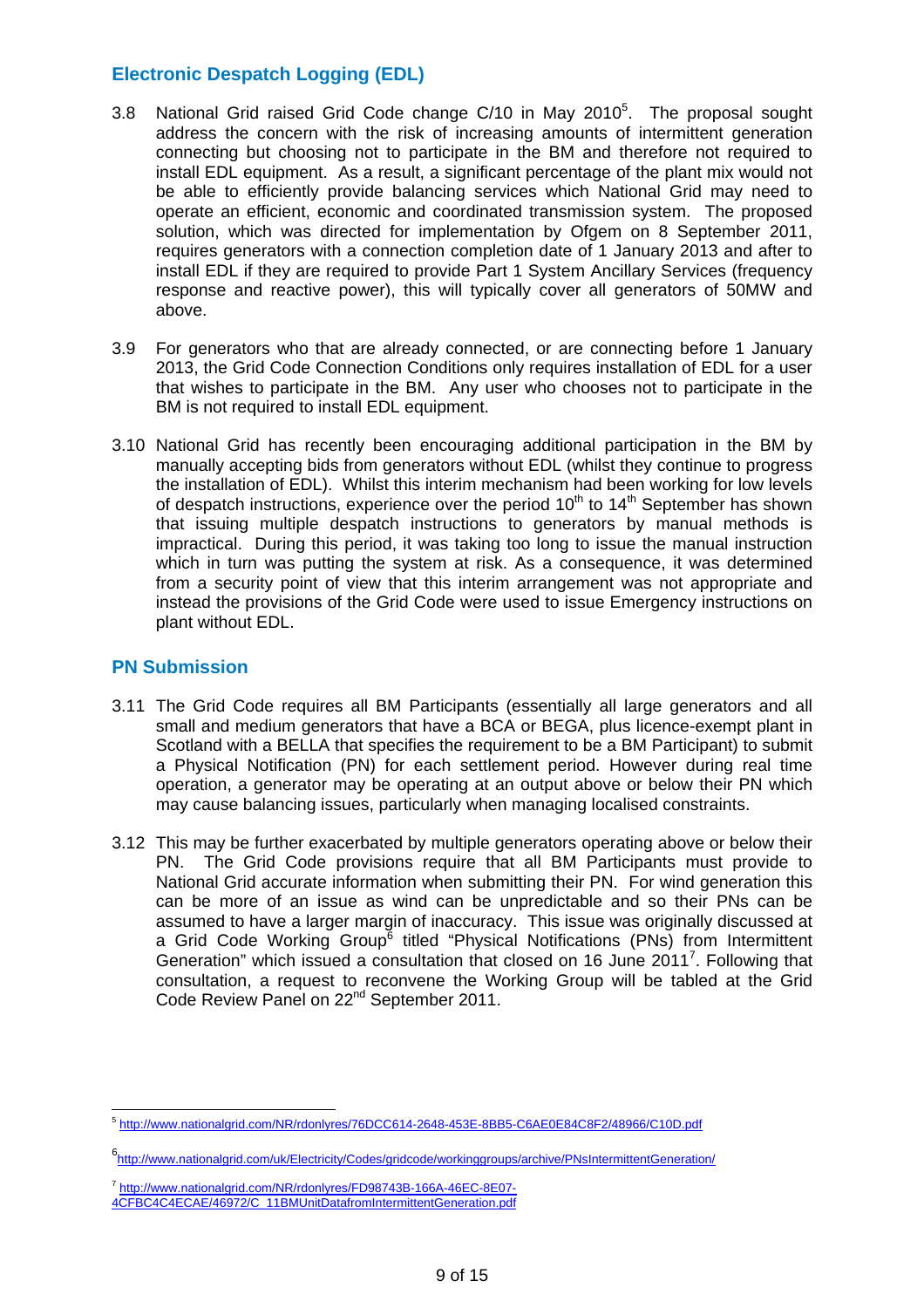# **Electronic Despatch Logging (EDL)**

- 3.8 National Grid raised Grid Code change  $C/10$  in May 2010<sup>5</sup>. The proposal sought address the concern with the risk of increasing amounts of intermittent generation connecting but choosing not to participate in the BM and therefore not required to install EDL equipment. As a result, a significant percentage of the plant mix would not be able to efficiently provide balancing services which National Grid may need to operate an efficient, economic and coordinated transmission system. The proposed solution, which was directed for implementation by Ofgem on 8 September 2011, requires generators with a connection completion date of 1 January 2013 and after to install EDL if they are required to provide Part 1 System Ancillary Services (frequency response and reactive power), this will typically cover all generators of 50MW and above.
- 3.9 For generators who that are already connected, or are connecting before 1 January 2013, the Grid Code Connection Conditions only requires installation of EDL for a user that wishes to participate in the BM. Any user who chooses not to participate in the BM is not required to install EDL equipment.
- 3.10 National Grid has recently been encouraging additional participation in the BM by manually accepting bids from generators without EDL (whilst they continue to progress the installation of EDL). Whilst this interim mechanism had been working for low levels of despatch instructions, experience over the period  $10<sup>th</sup>$  to  $14<sup>th</sup>$  September has shown that issuing multiple despatch instructions to generators by manual methods is impractical. During this period, it was taking too long to issue the manual instruction which in turn was putting the system at risk. As a consequence, it was determined from a security point of view that this interim arrangement was not appropriate and instead the provisions of the Grid Code were used to issue Emergency instructions on plant without EDL.

## **PN Submission**

- 3.11 The Grid Code requires all BM Participants (essentially all large generators and all small and medium generators that have a BCA or BEGA, plus licence-exempt plant in Scotland with a BELLA that specifies the requirement to be a BM Participant) to submit a Physical Notification (PN) for each settlement period. However during real time operation, a generator may be operating at an output above or below their PN which may cause balancing issues, particularly when managing localised constraints.
- 3.12 This may be further exacerbated by multiple generators operating above or below their PN. The Grid Code provisions require that all BM Participants must provide to National Grid accurate information when submitting their PN. For wind generation this can be more of an issue as wind can be unpredictable and so their PNs can be assumed to have a larger margin of inaccuracy. This issue was originally discussed at a Grid Code Working Group<sup>6</sup> titled "Physical Notifications (PNs) from Intermittent Generation" which issued a consultation that closed on 16 June 2011<sup>7</sup>. Following that consultation, a request to reconvene the Working Group will be tabled at the Grid Code Review Panel on 22nd September 2011.

 $\overline{a}$ <sup>5</sup> http://www.nationalgrid.com/NR/rdonlyres/76DCC614-2648-453E-8BB5-C6AE0E84C8F2/48966/C10D.pdf

<sup>6&</sup>lt;br>http://www.nationalgrid.com/uk/Electricity/Codes/gridcode/workinggroups/archive/PNsIntermittentGeneration/

<sup>&</sup>lt;sup>7</sup> http://www.nationalgrid.com/NR/rdonlyres/FD98743B-166A-46EC-8E07-4CFBC4C4ECAE/46972/C\_11BMUnitDatafromIntermittentGeneration.pdf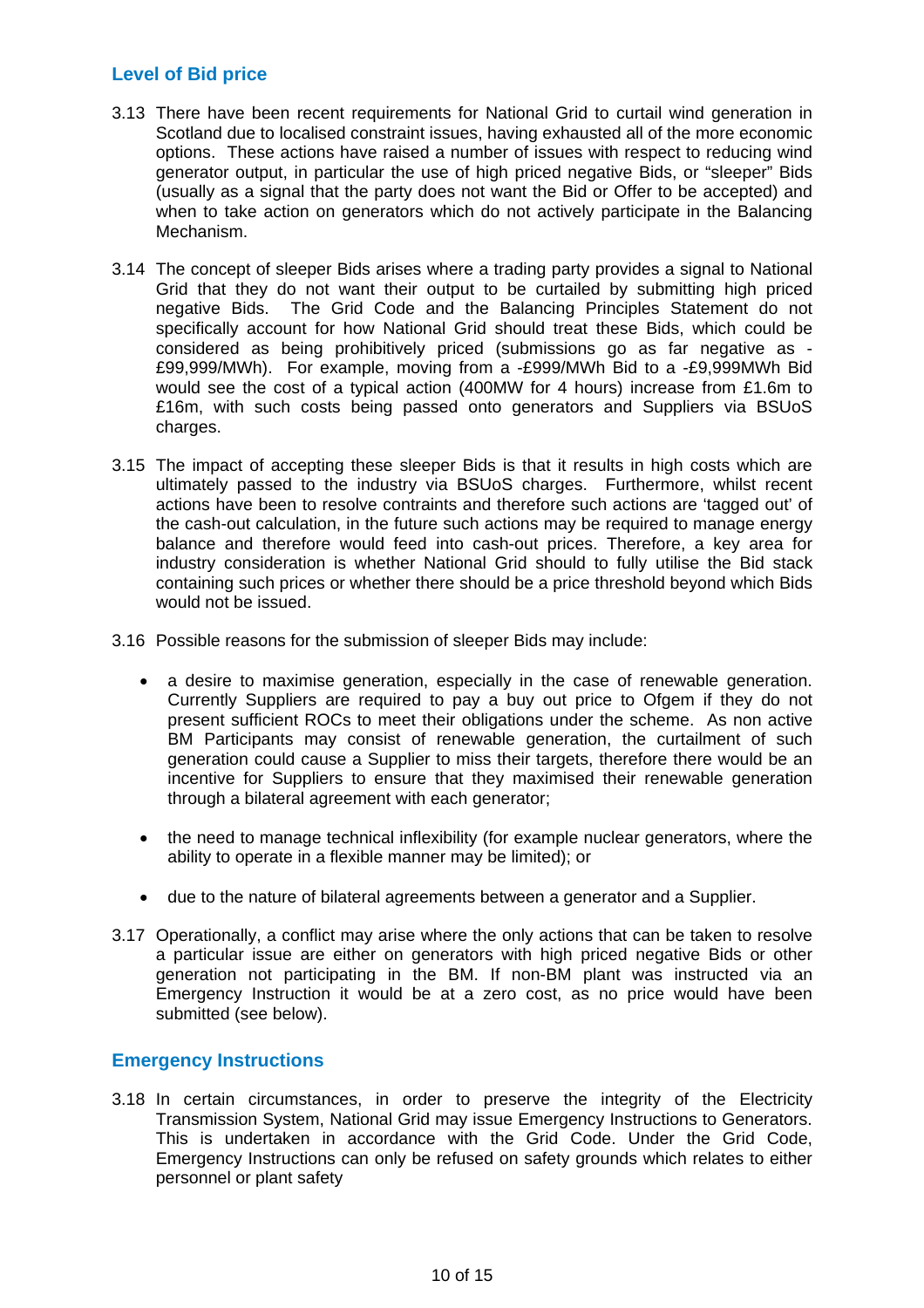## **Level of Bid price**

- 3.13 There have been recent requirements for National Grid to curtail wind generation in Scotland due to localised constraint issues, having exhausted all of the more economic options. These actions have raised a number of issues with respect to reducing wind generator output, in particular the use of high priced negative Bids, or "sleeper" Bids (usually as a signal that the party does not want the Bid or Offer to be accepted) and when to take action on generators which do not actively participate in the Balancing Mechanism.
- 3.14 The concept of sleeper Bids arises where a trading party provides a signal to National Grid that they do not want their output to be curtailed by submitting high priced negative Bids. The Grid Code and the Balancing Principles Statement do not specifically account for how National Grid should treat these Bids, which could be considered as being prohibitively priced (submissions go as far negative as - £99,999/MWh). For example, moving from a -£999/MWh Bid to a -£9,999MWh Bid would see the cost of a typical action (400MW for 4 hours) increase from £1.6m to £16m, with such costs being passed onto generators and Suppliers via BSUoS charges.
- 3.15 The impact of accepting these sleeper Bids is that it results in high costs which are ultimately passed to the industry via BSUoS charges. Furthermore, whilst recent actions have been to resolve contraints and therefore such actions are 'tagged out' of the cash-out calculation, in the future such actions may be required to manage energy balance and therefore would feed into cash-out prices. Therefore, a key area for industry consideration is whether National Grid should to fully utilise the Bid stack containing such prices or whether there should be a price threshold beyond which Bids would not be issued.
- 3.16 Possible reasons for the submission of sleeper Bids may include:
	- a desire to maximise generation, especially in the case of renewable generation. Currently Suppliers are required to pay a buy out price to Ofgem if they do not present sufficient ROCs to meet their obligations under the scheme. As non active BM Participants may consist of renewable generation, the curtailment of such generation could cause a Supplier to miss their targets, therefore there would be an incentive for Suppliers to ensure that they maximised their renewable generation through a bilateral agreement with each generator;
	- the need to manage technical inflexibility (for example nuclear generators, where the ability to operate in a flexible manner may be limited); or
	- due to the nature of bilateral agreements between a generator and a Supplier.
- 3.17 Operationally, a conflict may arise where the only actions that can be taken to resolve a particular issue are either on generators with high priced negative Bids or other generation not participating in the BM. If non-BM plant was instructed via an Emergency Instruction it would be at a zero cost, as no price would have been submitted (see below).

## **Emergency Instructions**

3.18 In certain circumstances, in order to preserve the integrity of the Electricity Transmission System, National Grid may issue Emergency Instructions to Generators. This is undertaken in accordance with the Grid Code. Under the Grid Code, Emergency Instructions can only be refused on safety grounds which relates to either personnel or plant safety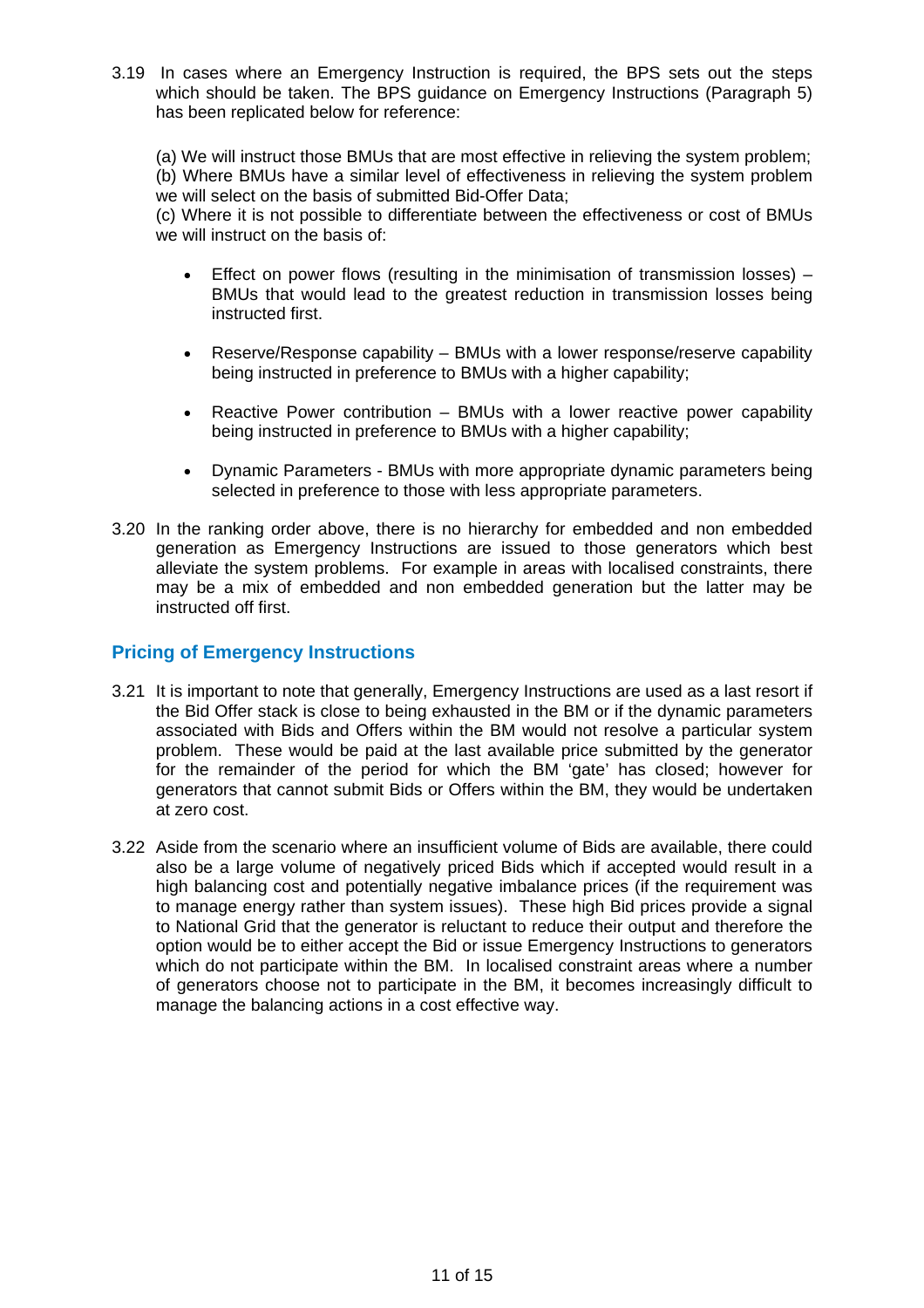3.19 In cases where an Emergency Instruction is required, the BPS sets out the steps which should be taken. The BPS guidance on Emergency Instructions (Paragraph 5) has been replicated below for reference:

(a) We will instruct those BMUs that are most effective in relieving the system problem; (b) Where BMUs have a similar level of effectiveness in relieving the system problem we will select on the basis of submitted Bid-Offer Data;

(c) Where it is not possible to differentiate between the effectiveness or cost of BMUs we will instruct on the basis of:

- Effect on power flows (resulting in the minimisation of transmission losses)  $-$ BMUs that would lead to the greatest reduction in transmission losses being instructed first.
- Reserve/Response capability BMUs with a lower response/reserve capability being instructed in preference to BMUs with a higher capability;
- Reactive Power contribution BMUs with a lower reactive power capability being instructed in preference to BMUs with a higher capability;
- Dynamic Parameters BMUs with more appropriate dynamic parameters being selected in preference to those with less appropriate parameters.
- 3.20 In the ranking order above, there is no hierarchy for embedded and non embedded generation as Emergency Instructions are issued to those generators which best alleviate the system problems. For example in areas with localised constraints, there may be a mix of embedded and non embedded generation but the latter may be instructed off first.

## **Pricing of Emergency Instructions**

- 3.21 It is important to note that generally, Emergency Instructions are used as a last resort if the Bid Offer stack is close to being exhausted in the BM or if the dynamic parameters associated with Bids and Offers within the BM would not resolve a particular system problem. These would be paid at the last available price submitted by the generator for the remainder of the period for which the BM 'gate' has closed; however for generators that cannot submit Bids or Offers within the BM, they would be undertaken at zero cost.
- 3.22 Aside from the scenario where an insufficient volume of Bids are available, there could also be a large volume of negatively priced Bids which if accepted would result in a high balancing cost and potentially negative imbalance prices (if the requirement was to manage energy rather than system issues). These high Bid prices provide a signal to National Grid that the generator is reluctant to reduce their output and therefore the option would be to either accept the Bid or issue Emergency Instructions to generators which do not participate within the BM. In localised constraint areas where a number of generators choose not to participate in the BM, it becomes increasingly difficult to manage the balancing actions in a cost effective way.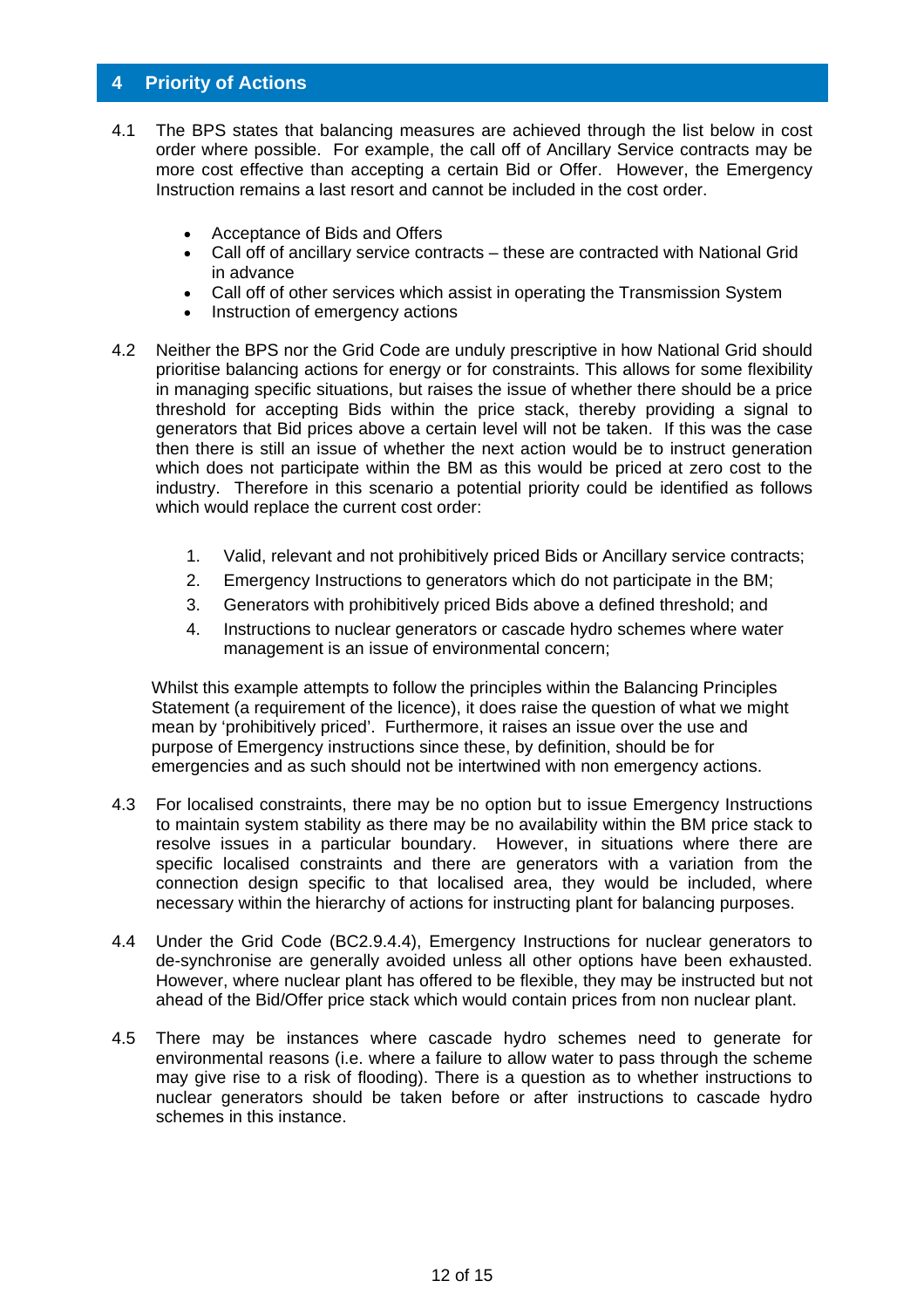### **4 Priority of Actions**

- 4.1 The BPS states that balancing measures are achieved through the list below in cost order where possible. For example, the call off of Ancillary Service contracts may be more cost effective than accepting a certain Bid or Offer. However, the Emergency Instruction remains a last resort and cannot be included in the cost order.
	- Acceptance of Bids and Offers
	- Call off of ancillary service contracts these are contracted with National Grid in advance
	- Call off of other services which assist in operating the Transmission System
	- Instruction of emergency actions
- 4.2 Neither the BPS nor the Grid Code are unduly prescriptive in how National Grid should prioritise balancing actions for energy or for constraints. This allows for some flexibility in managing specific situations, but raises the issue of whether there should be a price threshold for accepting Bids within the price stack, thereby providing a signal to generators that Bid prices above a certain level will not be taken. If this was the case then there is still an issue of whether the next action would be to instruct generation which does not participate within the BM as this would be priced at zero cost to the industry. Therefore in this scenario a potential priority could be identified as follows which would replace the current cost order:
	- 1. Valid, relevant and not prohibitively priced Bids or Ancillary service contracts;
	- 2. Emergency Instructions to generators which do not participate in the BM;
	- 3. Generators with prohibitively priced Bids above a defined threshold; and
	- 4. Instructions to nuclear generators or cascade hydro schemes where water management is an issue of environmental concern;

Whilst this example attempts to follow the principles within the Balancing Principles Statement (a requirement of the licence), it does raise the question of what we might mean by 'prohibitively priced'. Furthermore, it raises an issue over the use and purpose of Emergency instructions since these, by definition, should be for emergencies and as such should not be intertwined with non emergency actions.

- 4.3 For localised constraints, there may be no option but to issue Emergency Instructions to maintain system stability as there may be no availability within the BM price stack to resolve issues in a particular boundary. However, in situations where there are specific localised constraints and there are generators with a variation from the connection design specific to that localised area, they would be included, where necessary within the hierarchy of actions for instructing plant for balancing purposes.
- 4.4 Under the Grid Code (BC2.9.4.4), Emergency Instructions for nuclear generators to de-synchronise are generally avoided unless all other options have been exhausted. However, where nuclear plant has offered to be flexible, they may be instructed but not ahead of the Bid/Offer price stack which would contain prices from non nuclear plant.
- 4.5 There may be instances where cascade hydro schemes need to generate for environmental reasons (i.e. where a failure to allow water to pass through the scheme may give rise to a risk of flooding). There is a question as to whether instructions to nuclear generators should be taken before or after instructions to cascade hydro schemes in this instance.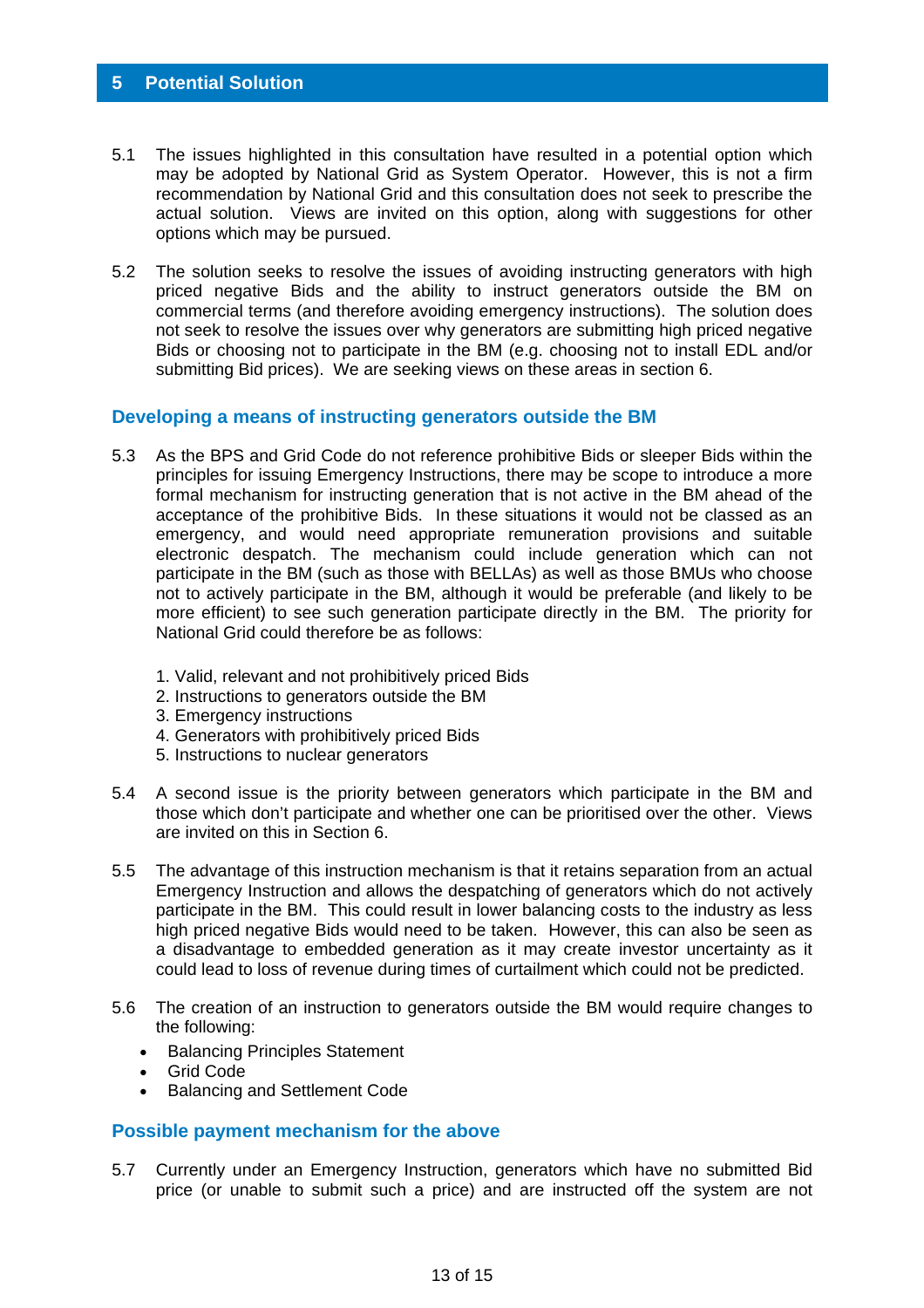- 5.1 The issues highlighted in this consultation have resulted in a potential option which may be adopted by National Grid as System Operator. However, this is not a firm recommendation by National Grid and this consultation does not seek to prescribe the actual solution. Views are invited on this option, along with suggestions for other options which may be pursued.
- 5.2 The solution seeks to resolve the issues of avoiding instructing generators with high priced negative Bids and the ability to instruct generators outside the BM on commercial terms (and therefore avoiding emergency instructions). The solution does not seek to resolve the issues over why generators are submitting high priced negative Bids or choosing not to participate in the BM (e.g. choosing not to install EDL and/or submitting Bid prices). We are seeking views on these areas in section 6.

#### **Developing a means of instructing generators outside the BM**

- 5.3 As the BPS and Grid Code do not reference prohibitive Bids or sleeper Bids within the principles for issuing Emergency Instructions, there may be scope to introduce a more formal mechanism for instructing generation that is not active in the BM ahead of the acceptance of the prohibitive Bids. In these situations it would not be classed as an emergency, and would need appropriate remuneration provisions and suitable electronic despatch. The mechanism could include generation which can not participate in the BM (such as those with BELLAs) as well as those BMUs who choose not to actively participate in the BM, although it would be preferable (and likely to be more efficient) to see such generation participate directly in the BM. The priority for National Grid could therefore be as follows:
	- 1. Valid, relevant and not prohibitively priced Bids
	- 2. Instructions to generators outside the BM
	- 3. Emergency instructions
	- 4. Generators with prohibitively priced Bids
	- 5. Instructions to nuclear generators
- 5.4 A second issue is the priority between generators which participate in the BM and those which don't participate and whether one can be prioritised over the other. Views are invited on this in Section 6.
- 5.5 The advantage of this instruction mechanism is that it retains separation from an actual Emergency Instruction and allows the despatching of generators which do not actively participate in the BM. This could result in lower balancing costs to the industry as less high priced negative Bids would need to be taken. However, this can also be seen as a disadvantage to embedded generation as it may create investor uncertainty as it could lead to loss of revenue during times of curtailment which could not be predicted.
- 5.6 The creation of an instruction to generators outside the BM would require changes to the following:
	- Balancing Principles Statement
	- Grid Code
	- Balancing and Settlement Code

#### **Possible payment mechanism for the above**

5.7 Currently under an Emergency Instruction, generators which have no submitted Bid price (or unable to submit such a price) and are instructed off the system are not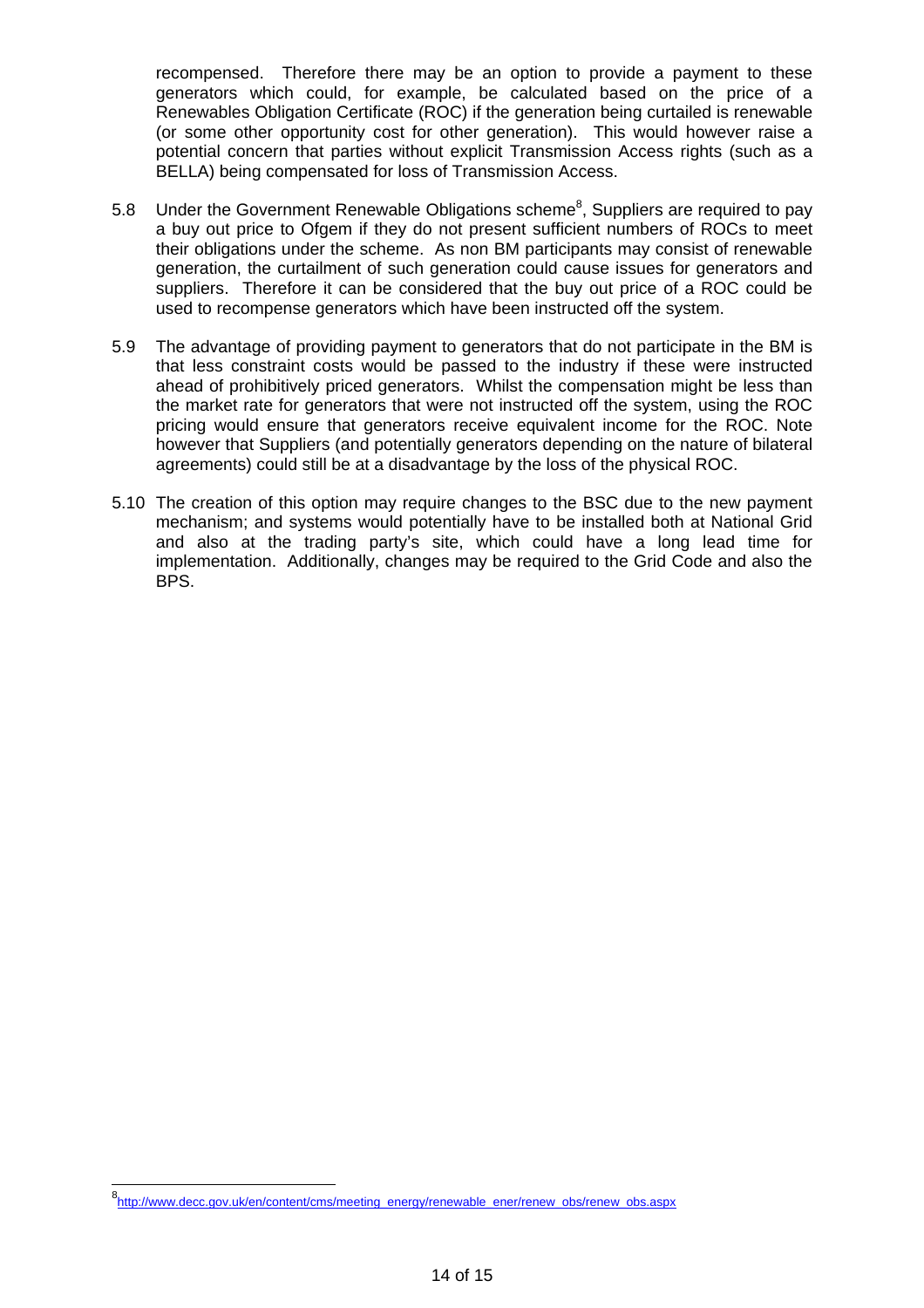recompensed. Therefore there may be an option to provide a payment to these generators which could, for example, be calculated based on the price of a Renewables Obligation Certificate (ROC) if the generation being curtailed is renewable (or some other opportunity cost for other generation). This would however raise a potential concern that parties without explicit Transmission Access rights (such as a BELLA) being compensated for loss of Transmission Access.

- 5.8 Under the Government Renewable Obligations scheme<sup>8</sup>, Suppliers are required to pay a buy out price to Ofgem if they do not present sufficient numbers of ROCs to meet their obligations under the scheme. As non BM participants may consist of renewable generation, the curtailment of such generation could cause issues for generators and suppliers. Therefore it can be considered that the buy out price of a ROC could be used to recompense generators which have been instructed off the system.
- 5.9 The advantage of providing payment to generators that do not participate in the BM is that less constraint costs would be passed to the industry if these were instructed ahead of prohibitively priced generators. Whilst the compensation might be less than the market rate for generators that were not instructed off the system, using the ROC pricing would ensure that generators receive equivalent income for the ROC. Note however that Suppliers (and potentially generators depending on the nature of bilateral agreements) could still be at a disadvantage by the loss of the physical ROC.
- 5.10 The creation of this option may require changes to the BSC due to the new payment mechanism; and systems would potentially have to be installed both at National Grid and also at the trading party's site, which could have a long lead time for implementation. Additionally, changes may be required to the Grid Code and also the BPS.

<sup>8&</sup>lt;br>http://www.decc.gov.uk/en/content/cms/meeting\_energy/renewable\_ener/renew\_obs/renew\_obs.aspx